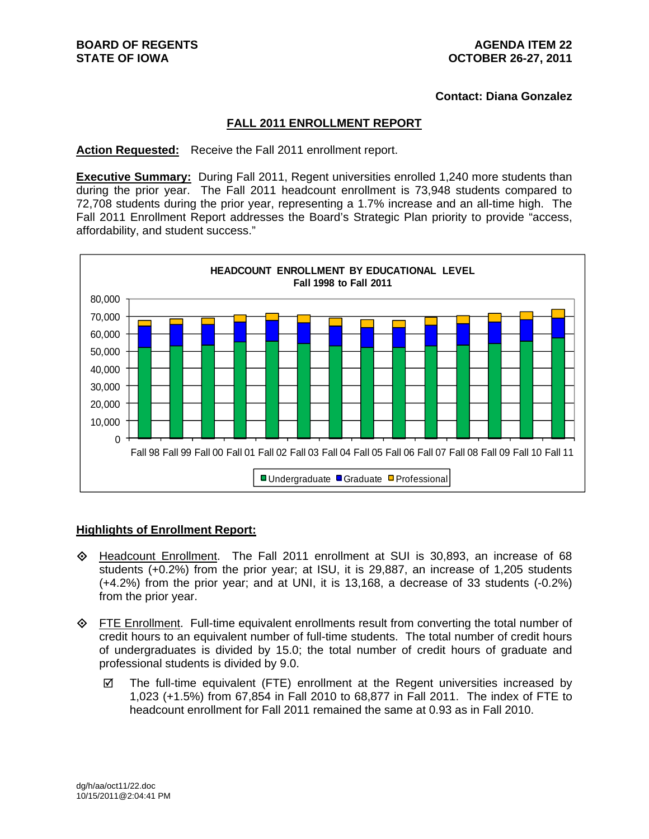**Contact: Diana Gonzalez** 

## **FALL 2011 ENROLLMENT REPORT**

#### **Action Requested:** Receive the Fall 2011 enrollment report.

**Executive Summary:** During Fall 2011, Regent universities enrolled 1,240 more students than during the prior year. The Fall 2011 headcount enrollment is 73,948 students compared to 72,708 students during the prior year, representing a 1.7% increase and an all-time high. The Fall 2011 Enrollment Report addresses the Board's Strategic Plan priority to provide "access, affordability, and student success."



#### **Highlights of Enrollment Report:**

- Headcount Enrollment. The Fall 2011 enrollment at SUI is 30,893, an increase of 68 students (+0.2%) from the prior year; at ISU, it is 29,887, an increase of 1,205 students (+4.2%) from the prior year; and at UNI, it is 13,168, a decrease of 33 students (-0.2%) from the prior year.
- FTE Enrollment. Full-time equivalent enrollments result from converting the total number of credit hours to an equivalent number of full-time students. The total number of credit hours of undergraduates is divided by 15.0; the total number of credit hours of graduate and professional students is divided by 9.0.
	- $\boxtimes$  The full-time equivalent (FTE) enrollment at the Regent universities increased by 1,023 (+1.5%) from 67,854 in Fall 2010 to 68,877 in Fall 2011. The index of FTE to headcount enrollment for Fall 2011 remained the same at 0.93 as in Fall 2010.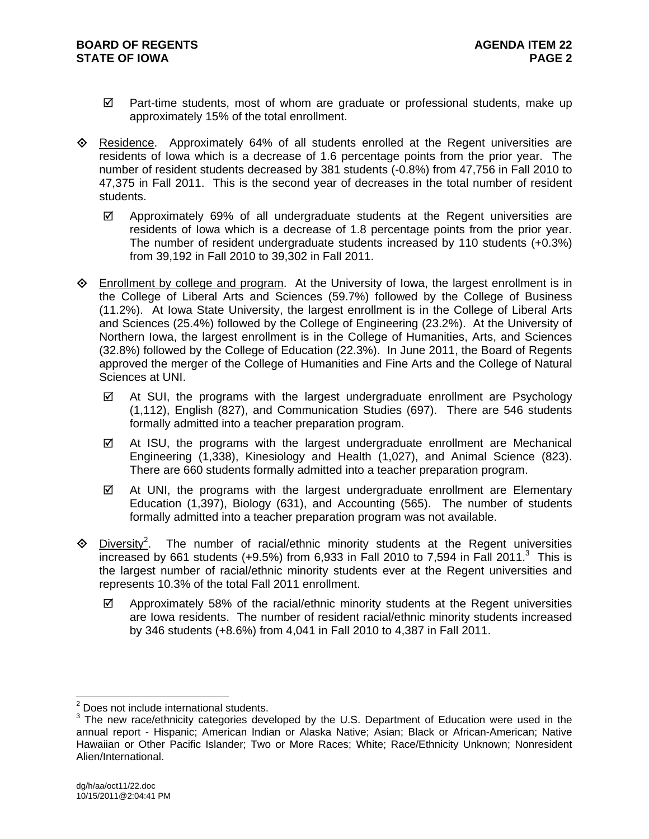- $\boxtimes$  Part-time students, most of whom are graduate or professional students, make up approximately 15% of the total enrollment.
- $\Leftrightarrow$  Residence. Approximately 64% of all students enrolled at the Regent universities are residents of Iowa which is a decrease of 1.6 percentage points from the prior year. The number of resident students decreased by 381 students (-0.8%) from 47,756 in Fall 2010 to 47,375 in Fall 2011. This is the second year of decreases in the total number of resident students.
	- $\boxtimes$  Approximately 69% of all undergraduate students at the Regent universities are residents of Iowa which is a decrease of 1.8 percentage points from the prior year. The number of resident undergraduate students increased by 110 students (+0.3%) from 39,192 in Fall 2010 to 39,302 in Fall 2011.
- $\Diamond$  Enrollment by college and program. At the University of Iowa, the largest enrollment is in the College of Liberal Arts and Sciences (59.7%) followed by the College of Business (11.2%). At Iowa State University, the largest enrollment is in the College of Liberal Arts and Sciences (25.4%) followed by the College of Engineering (23.2%). At the University of Northern Iowa, the largest enrollment is in the College of Humanities, Arts, and Sciences (32.8%) followed by the College of Education (22.3%). In June 2011, the Board of Regents approved the merger of the College of Humanities and Fine Arts and the College of Natural Sciences at UNI.
	- $\boxtimes$  At SUI, the programs with the largest undergraduate enrollment are Psychology (1,112), English (827), and Communication Studies (697). There are 546 students formally admitted into a teacher preparation program.
	- $\boxtimes$  At ISU, the programs with the largest undergraduate enrollment are Mechanical Engineering (1,338), Kinesiology and Health (1,027), and Animal Science (823). There are 660 students formally admitted into a teacher preparation program.
	- $\boxtimes$  At UNI, the programs with the largest undergraduate enrollment are Elementary Education (1,397), Biology (631), and Accounting (565). The number of students formally admitted into a teacher preparation program was not available.
- $\otimes$  Diversity<sup>2</sup>. . The number of racial/ethnic minority students at the Regent universities increased by 661 students (+9.5%) from 6,933 in Fall 2010 to 7,594 in Fall 2011.<sup>3</sup> This is the largest number of racial/ethnic minority students ever at the Regent universities and represents 10.3% of the total Fall 2011 enrollment.
	- $\boxtimes$  Approximately 58% of the racial/ethnic minority students at the Regent universities are Iowa residents. The number of resident racial/ethnic minority students increased by 346 students (+8.6%) from 4,041 in Fall 2010 to 4,387 in Fall 2011.

 2 Does not include international students.

 $3$  The new race/ethnicity categories developed by the U.S. Department of Education were used in the annual report - Hispanic; American Indian or Alaska Native; Asian; Black or African-American; Native Hawaiian or Other Pacific Islander; Two or More Races; White; Race/Ethnicity Unknown; Nonresident Alien/International.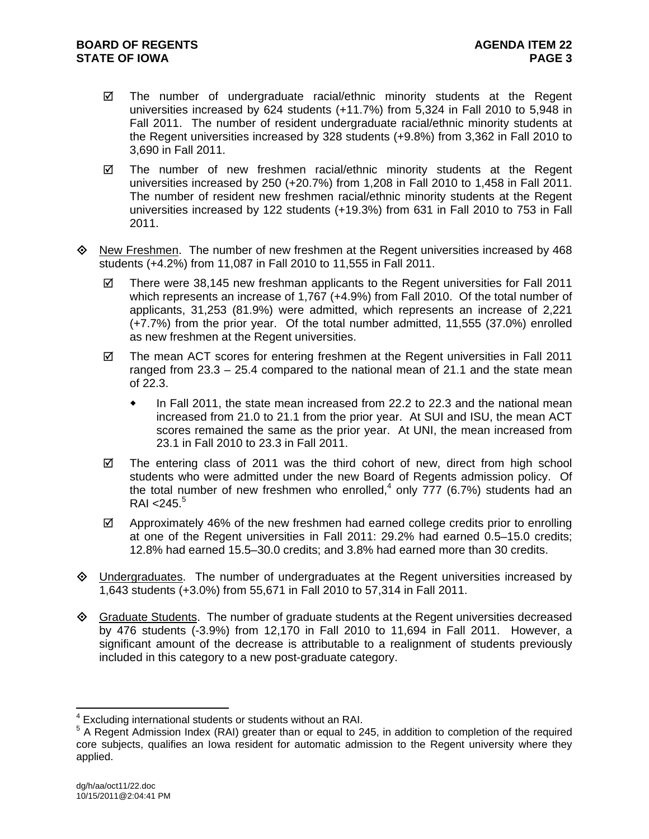- $\boxtimes$  The number of undergraduate racial/ethnic minority students at the Regent universities increased by 624 students (+11.7%) from 5,324 in Fall 2010 to 5,948 in Fall 2011. The number of resident undergraduate racial/ethnic minority students at the Regent universities increased by 328 students (+9.8%) from 3,362 in Fall 2010 to 3,690 in Fall 2011.
- $\boxtimes$  The number of new freshmen racial/ethnic minority students at the Regent universities increased by 250 (+20.7%) from 1,208 in Fall 2010 to 1,458 in Fall 2011. The number of resident new freshmen racial/ethnic minority students at the Regent universities increased by 122 students (+19.3%) from 631 in Fall 2010 to 753 in Fall 2011.
- ♦ New Freshmen. The number of new freshmen at the Regent universities increased by 468 students (+4.2%) from 11,087 in Fall 2010 to 11,555 in Fall 2011.
	- $\boxtimes$  There were 38,145 new freshman applicants to the Regent universities for Fall 2011 which represents an increase of 1,767 (+4.9%) from Fall 2010. Of the total number of applicants, 31,253 (81.9%) were admitted, which represents an increase of 2,221 (+7.7%) from the prior year. Of the total number admitted, 11,555 (37.0%) enrolled as new freshmen at the Regent universities.
	- $\boxtimes$  The mean ACT scores for entering freshmen at the Regent universities in Fall 2011 ranged from 23.3 – 25.4 compared to the national mean of 21.1 and the state mean of 22.3.
		- In Fall 2011, the state mean increased from 22.2 to 22.3 and the national mean increased from 21.0 to 21.1 from the prior year. At SUI and ISU, the mean ACT scores remained the same as the prior year. At UNI, the mean increased from 23.1 in Fall 2010 to 23.3 in Fall 2011.
	- $\boxtimes$  The entering class of 2011 was the third cohort of new, direct from high school students who were admitted under the new Board of Regents admission policy. Of the total number of new freshmen who enrolled,<sup>4</sup> only 777 (6.7%) students had an RAI < $245.<sup>5</sup>$
	- $\boxtimes$  Approximately 46% of the new freshmen had earned college credits prior to enrolling at one of the Regent universities in Fall 2011: 29.2% had earned 0.5–15.0 credits; 12.8% had earned 15.5–30.0 credits; and 3.8% had earned more than 30 credits.
- ♦ Undergraduates. The number of undergraduates at the Regent universities increased by 1,643 students (+3.0%) from 55,671 in Fall 2010 to 57,314 in Fall 2011.
- $\Diamond$  Graduate Students. The number of graduate students at the Regent universities decreased by 476 students (-3.9%) from 12,170 in Fall 2010 to 11,694 in Fall 2011. However, a significant amount of the decrease is attributable to a realignment of students previously included in this category to a new post-graduate category.

 4 Excluding international students or students without an RAI.

<sup>&</sup>lt;sup>5</sup> A Regent Admission Index (RAI) greater than or equal to 245, in addition to completion of the required core subjects, qualifies an Iowa resident for automatic admission to the Regent university where they applied.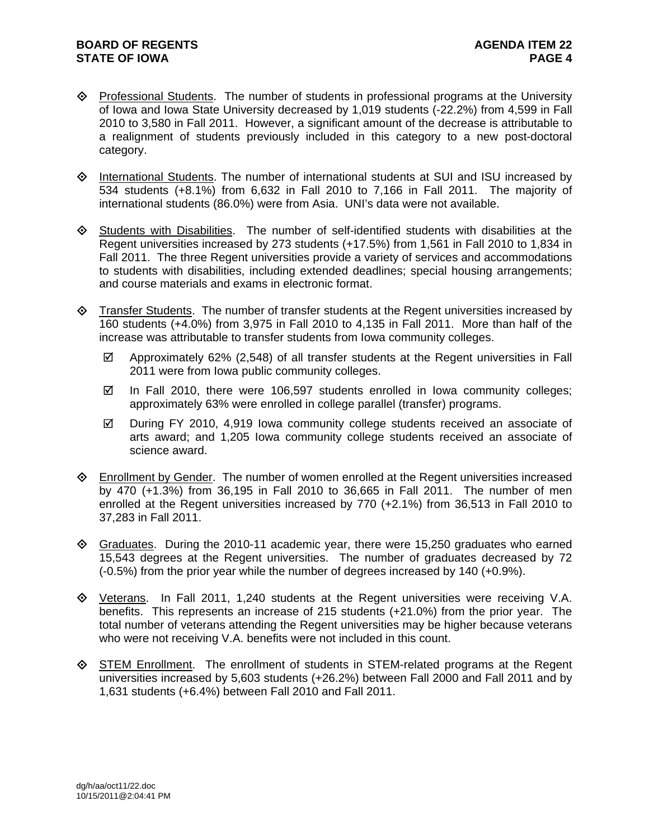- $\Diamond$  Professional Students. The number of students in professional programs at the University of Iowa and Iowa State University decreased by 1,019 students (-22.2%) from 4,599 in Fall 2010 to 3,580 in Fall 2011. However, a significant amount of the decrease is attributable to a realignment of students previously included in this category to a new post-doctoral category.
- $\Diamond$  International Students. The number of international students at SUI and ISU increased by 534 students (+8.1%) from 6,632 in Fall 2010 to 7,166 in Fall 2011. The majority of international students (86.0%) were from Asia. UNI's data were not available.
- $\diamond$  Students with Disabilities. The number of self-identified students with disabilities at the Regent universities increased by 273 students (+17.5%) from 1,561 in Fall 2010 to 1,834 in Fall 2011. The three Regent universities provide a variety of services and accommodations to students with disabilities, including extended deadlines; special housing arrangements; and course materials and exams in electronic format.
- $\Diamond$  Transfer Students. The number of transfer students at the Regent universities increased by 160 students (+4.0%) from 3,975 in Fall 2010 to 4,135 in Fall 2011. More than half of the increase was attributable to transfer students from Iowa community colleges.
	- $\boxtimes$  Approximately 62% (2.548) of all transfer students at the Regent universities in Fall 2011 were from Iowa public community colleges.
	- $\boxtimes$  In Fall 2010, there were 106,597 students enrolled in Iowa community colleges; approximately 63% were enrolled in college parallel (transfer) programs.
	- $\boxtimes$  During FY 2010, 4,919 Iowa community college students received an associate of arts award; and 1,205 Iowa community college students received an associate of science award.
- $\Diamond$  Enrollment by Gender. The number of women enrolled at the Regent universities increased by 470 (+1.3%) from 36,195 in Fall 2010 to 36,665 in Fall 2011. The number of men enrolled at the Regent universities increased by 770 (+2.1%) from 36,513 in Fall 2010 to 37,283 in Fall 2011.
- $\Diamond$  Graduates. During the 2010-11 academic year, there were 15,250 graduates who earned 15,543 degrees at the Regent universities. The number of graduates decreased by 72 (-0.5%) from the prior year while the number of degrees increased by 140 (+0.9%).
- Veterans. In Fall 2011, 1,240 students at the Regent universities were receiving V.A. benefits. This represents an increase of 215 students (+21.0%) from the prior year. The total number of veterans attending the Regent universities may be higher because veterans who were not receiving V.A. benefits were not included in this count.
- STEM Enrollment. The enrollment of students in STEM-related programs at the Regent universities increased by 5,603 students (+26.2%) between Fall 2000 and Fall 2011 and by 1,631 students (+6.4%) between Fall 2010 and Fall 2011.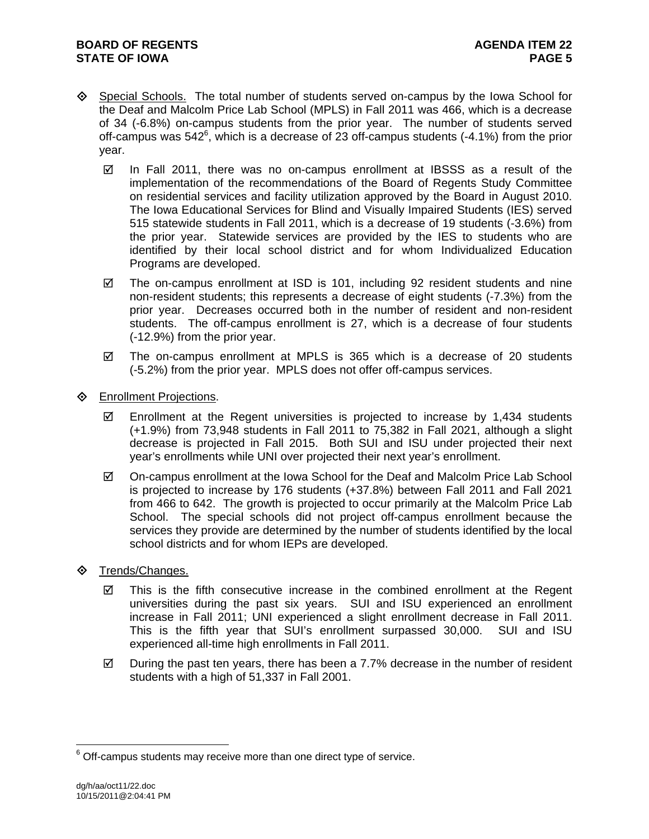- Special Schools. The total number of students served on-campus by the Iowa School for the Deaf and Malcolm Price Lab School (MPLS) in Fall 2011 was 466, which is a decrease of 34 (-6.8%) on-campus students from the prior year. The number of students served off-campus was  $542^6$ , which is a decrease of 23 off-campus students (-4.1%) from the prior year.
	- $\boxtimes$  In Fall 2011, there was no on-campus enrollment at IBSSS as a result of the implementation of the recommendations of the Board of Regents Study Committee on residential services and facility utilization approved by the Board in August 2010. The Iowa Educational Services for Blind and Visually Impaired Students (IES) served 515 statewide students in Fall 2011, which is a decrease of 19 students (-3.6%) from the prior year. Statewide services are provided by the IES to students who are identified by their local school district and for whom Individualized Education Programs are developed.
	- $\boxtimes$  The on-campus enrollment at ISD is 101, including 92 resident students and nine non-resident students; this represents a decrease of eight students (-7.3%) from the prior year. Decreases occurred both in the number of resident and non-resident students. The off-campus enrollment is 27, which is a decrease of four students (-12.9%) from the prior year.
	- $\boxtimes$  The on-campus enrollment at MPLS is 365 which is a decrease of 20 students (-5.2%) from the prior year. MPLS does not offer off-campus services.
- **♦** Enrollment Projections.
	- $\boxtimes$  Enrollment at the Regent universities is projected to increase by 1,434 students (+1.9%) from 73,948 students in Fall 2011 to 75,382 in Fall 2021, although a slight decrease is projected in Fall 2015. Both SUI and ISU under projected their next year's enrollments while UNI over projected their next year's enrollment.
	- $\boxtimes$  On-campus enrollment at the Iowa School for the Deaf and Malcolm Price Lab School is projected to increase by 176 students (+37.8%) between Fall 2011 and Fall 2021 from 466 to 642. The growth is projected to occur primarily at the Malcolm Price Lab School. The special schools did not project off-campus enrollment because the services they provide are determined by the number of students identified by the local school districts and for whom IEPs are developed.
- ♦ Trends/Changes.
	- $\boxtimes$  This is the fifth consecutive increase in the combined enrollment at the Regent universities during the past six years. SUI and ISU experienced an enrollment increase in Fall 2011; UNI experienced a slight enrollment decrease in Fall 2011. This is the fifth year that SUI's enrollment surpassed 30,000. SUI and ISU experienced all-time high enrollments in Fall 2011.
	- $\boxtimes$  During the past ten years, there has been a 7.7% decrease in the number of resident students with a high of 51,337 in Fall 2001.

 $\overline{a}$ 

 $6$  Off-campus students may receive more than one direct type of service.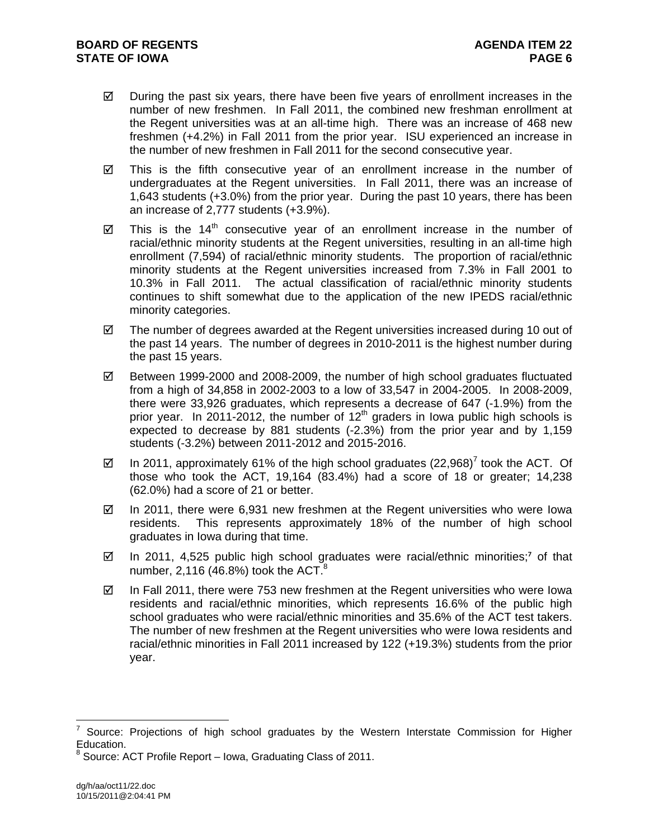- $\boxtimes$  During the past six years, there have been five years of enrollment increases in the number of new freshmen. In Fall 2011, the combined new freshman enrollment at the Regent universities was at an all-time high. There was an increase of 468 new freshmen (+4.2%) in Fall 2011 from the prior year. ISU experienced an increase in the number of new freshmen in Fall 2011 for the second consecutive year.
- $\boxtimes$  This is the fifth consecutive year of an enrollment increase in the number of undergraduates at the Regent universities. In Fall 2011, there was an increase of 1,643 students (+3.0%) from the prior year. During the past 10 years, there has been an increase of 2,777 students (+3.9%).
- $\boxtimes$  This is the 14<sup>th</sup> consecutive year of an enrollment increase in the number of racial/ethnic minority students at the Regent universities, resulting in an all-time high enrollment (7,594) of racial/ethnic minority students. The proportion of racial/ethnic minority students at the Regent universities increased from 7.3% in Fall 2001 to 10.3% in Fall 2011. The actual classification of racial/ethnic minority students continues to shift somewhat due to the application of the new IPEDS racial/ethnic minority categories.
- $\boxtimes$  The number of degrees awarded at the Regent universities increased during 10 out of the past 14 years. The number of degrees in 2010-2011 is the highest number during the past 15 years.
- $\boxtimes$  Between 1999-2000 and 2008-2009, the number of high school graduates fluctuated from a high of 34,858 in 2002-2003 to a low of 33,547 in 2004-2005. In 2008-2009, there were 33,926 graduates, which represents a decrease of 647 (-1.9%) from the prior year. In 2011-2012, the number of  $12<sup>th</sup>$  graders in lowa public high schools is expected to decrease by 881 students (-2.3%) from the prior year and by 1,159 students (-3.2%) between 2011-2012 and 2015-2016.
- $\boxtimes$  In 2011, approximately 61% of the high school graduates (22,968)<sup>7</sup> took the ACT. Of those who took the ACT, 19,164 (83.4%) had a score of 18 or greater; 14,238 (62.0%) had a score of 21 or better.
- $\boxtimes$  In 2011, there were 6,931 new freshmen at the Regent universities who were lowa residents. This represents approximately 18% of the number of high school graduates in Iowa during that time.
- $\boxtimes$  In 2011, 4,525 public high school graduates were racial/ethnic minorities;<sup>7</sup> of that number, 2,116 (46.8%) took the ACT. $8^{\circ}$
- $\boxtimes$  In Fall 2011, there were 753 new freshmen at the Regent universities who were lowa residents and racial/ethnic minorities, which represents 16.6% of the public high school graduates who were racial/ethnic minorities and 35.6% of the ACT test takers. The number of new freshmen at the Regent universities who were Iowa residents and racial/ethnic minorities in Fall 2011 increased by 122 (+19.3%) students from the prior year.

 $\overline{a}$ 

<sup>7</sup> Source: Projections of high school graduates by the Western Interstate Commission for Higher Education.<br><sup>8</sup> Seusen A

Source: ACT Profile Report – Iowa, Graduating Class of 2011.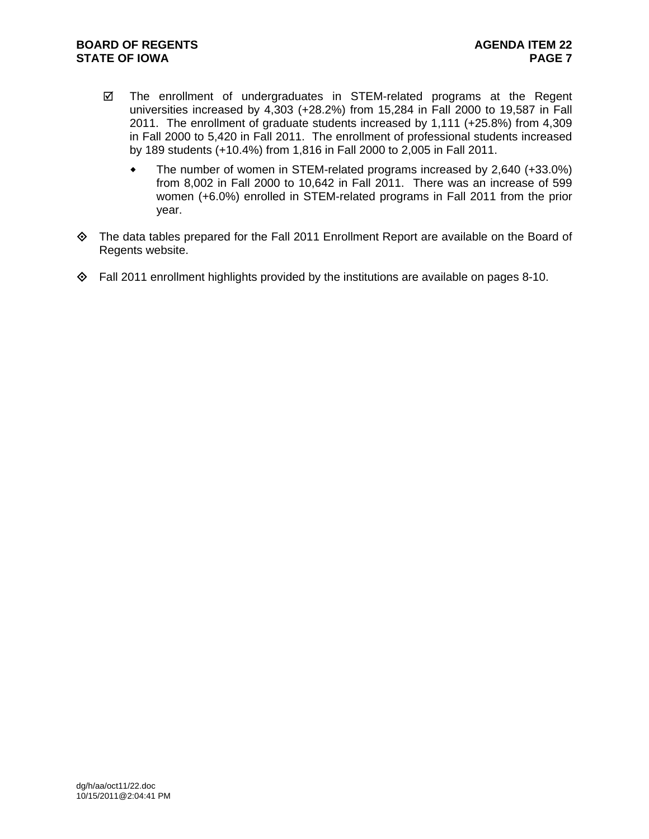- $\boxtimes$  The enrollment of undergraduates in STEM-related programs at the Regent universities increased by 4,303 (+28.2%) from 15,284 in Fall 2000 to 19,587 in Fall 2011. The enrollment of graduate students increased by 1,111 (+25.8%) from 4,309 in Fall 2000 to 5,420 in Fall 2011. The enrollment of professional students increased by 189 students (+10.4%) from 1,816 in Fall 2000 to 2,005 in Fall 2011.
	- The number of women in STEM-related programs increased by 2,640 (+33.0%) from 8,002 in Fall 2000 to 10,642 in Fall 2011. There was an increase of 599 women (+6.0%) enrolled in STEM-related programs in Fall 2011 from the prior year.
- The data tables prepared for the Fall 2011 Enrollment Report are available on the Board of Regents website.
- $\Diamond$  Fall 2011 enrollment highlights provided by the institutions are available on pages 8-10.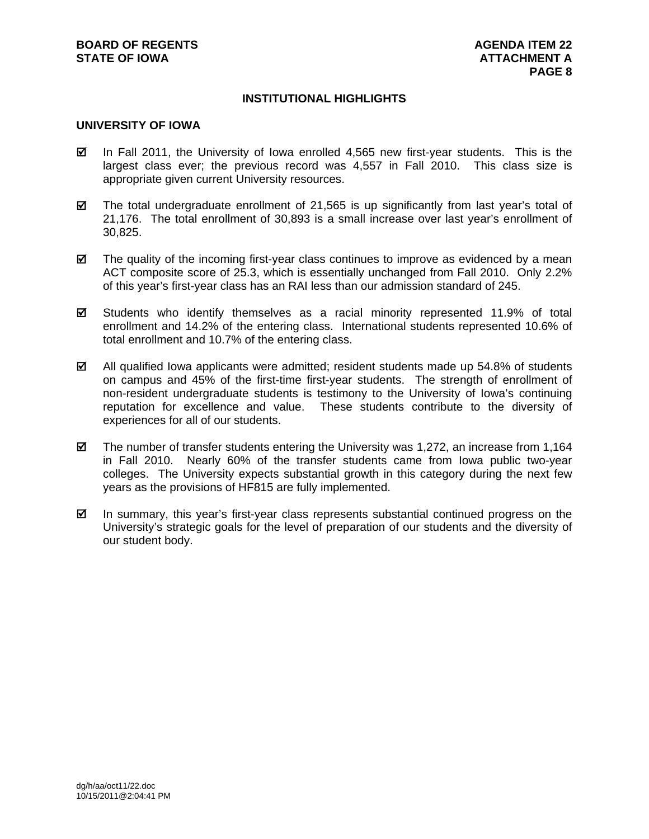## **INSTITUTIONAL HIGHLIGHTS**

# **UNIVERSITY OF IOWA**

- $\boxtimes$  In Fall 2011, the University of Iowa enrolled 4,565 new first-year students. This is the largest class ever; the previous record was 4,557 in Fall 2010. This class size is appropriate given current University resources.
- $\boxtimes$  The total undergraduate enrollment of 21,565 is up significantly from last year's total of 21,176. The total enrollment of 30,893 is a small increase over last year's enrollment of 30,825.
- $\boxtimes$  The quality of the incoming first-year class continues to improve as evidenced by a mean ACT composite score of 25.3, which is essentially unchanged from Fall 2010. Only 2.2% of this year's first-year class has an RAI less than our admission standard of 245.
- $\Sigma$  Students who identify themselves as a racial minority represented 11.9% of total enrollment and 14.2% of the entering class. International students represented 10.6% of total enrollment and 10.7% of the entering class.
- $\boxtimes$  All qualified Iowa applicants were admitted; resident students made up 54.8% of students on campus and 45% of the first-time first-year students. The strength of enrollment of non-resident undergraduate students is testimony to the University of Iowa's continuing reputation for excellence and value. These students contribute to the diversity of experiences for all of our students.
- $\boxtimes$  The number of transfer students entering the University was 1,272, an increase from 1,164 in Fall 2010. Nearly 60% of the transfer students came from Iowa public two-year colleges. The University expects substantial growth in this category during the next few years as the provisions of HF815 are fully implemented.
- $\boxtimes$  In summary, this year's first-year class represents substantial continued progress on the University's strategic goals for the level of preparation of our students and the diversity of our student body.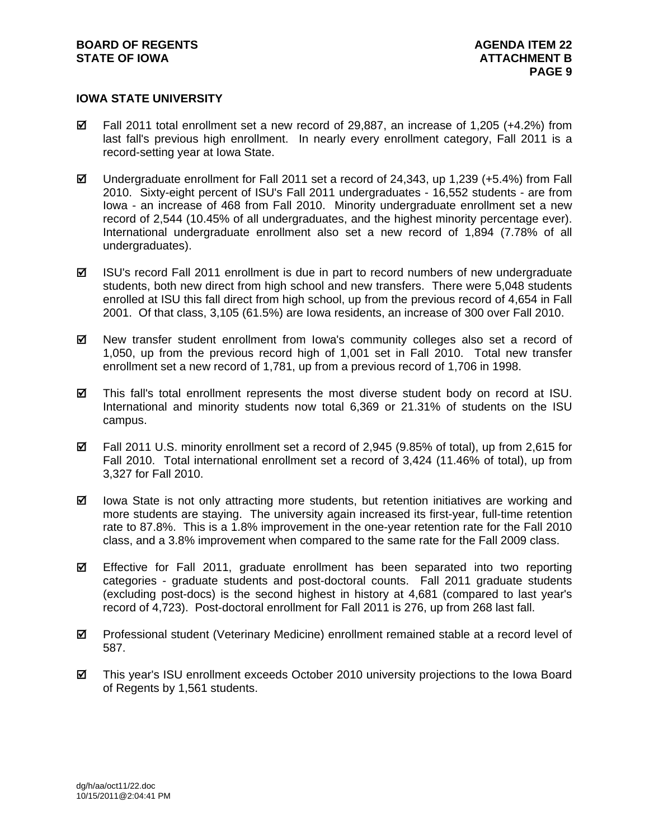## **IOWA STATE UNIVERSITY**

- $\boxtimes$  Fall 2011 total enrollment set a new record of 29,887, an increase of 1,205 (+4.2%) from last fall's previous high enrollment. In nearly every enrollment category, Fall 2011 is a record-setting year at Iowa State.
- $\boxtimes$  Undergraduate enrollment for Fall 2011 set a record of 24,343, up 1,239 (+5.4%) from Fall 2010. Sixty-eight percent of ISU's Fall 2011 undergraduates - 16,552 students - are from Iowa - an increase of 468 from Fall 2010. Minority undergraduate enrollment set a new record of 2,544 (10.45% of all undergraduates, and the highest minority percentage ever). International undergraduate enrollment also set a new record of 1,894 (7.78% of all undergraduates).
- $\boxtimes$  ISU's record Fall 2011 enrollment is due in part to record numbers of new undergraduate students, both new direct from high school and new transfers. There were 5,048 students enrolled at ISU this fall direct from high school, up from the previous record of 4,654 in Fall 2001. Of that class, 3,105 (61.5%) are Iowa residents, an increase of 300 over Fall 2010.
- $\boxtimes$  New transfer student enrollment from Iowa's community colleges also set a record of 1,050, up from the previous record high of 1,001 set in Fall 2010. Total new transfer enrollment set a new record of 1,781, up from a previous record of 1,706 in 1998.
- $\boxtimes$  This fall's total enrollment represents the most diverse student body on record at ISU. International and minority students now total 6,369 or 21.31% of students on the ISU campus.
- $\boxtimes$  Fall 2011 U.S. minority enrollment set a record of 2,945 (9.85% of total), up from 2,615 for Fall 2010. Total international enrollment set a record of 3,424 (11.46% of total), up from 3,327 for Fall 2010.
- $\boxtimes$  lowa State is not only attracting more students, but retention initiatives are working and more students are staying. The university again increased its first-year, full-time retention rate to 87.8%. This is a 1.8% improvement in the one-year retention rate for the Fall 2010 class, and a 3.8% improvement when compared to the same rate for the Fall 2009 class.
- Effective for Fall 2011, graduate enrollment has been separated into two reporting categories - graduate students and post-doctoral counts. Fall 2011 graduate students (excluding post-docs) is the second highest in history at 4,681 (compared to last year's record of 4,723). Post-doctoral enrollment for Fall 2011 is 276, up from 268 last fall.
- Professional student (Veterinary Medicine) enrollment remained stable at a record level of 587.
- This year's ISU enrollment exceeds October 2010 university projections to the Iowa Board of Regents by 1,561 students.